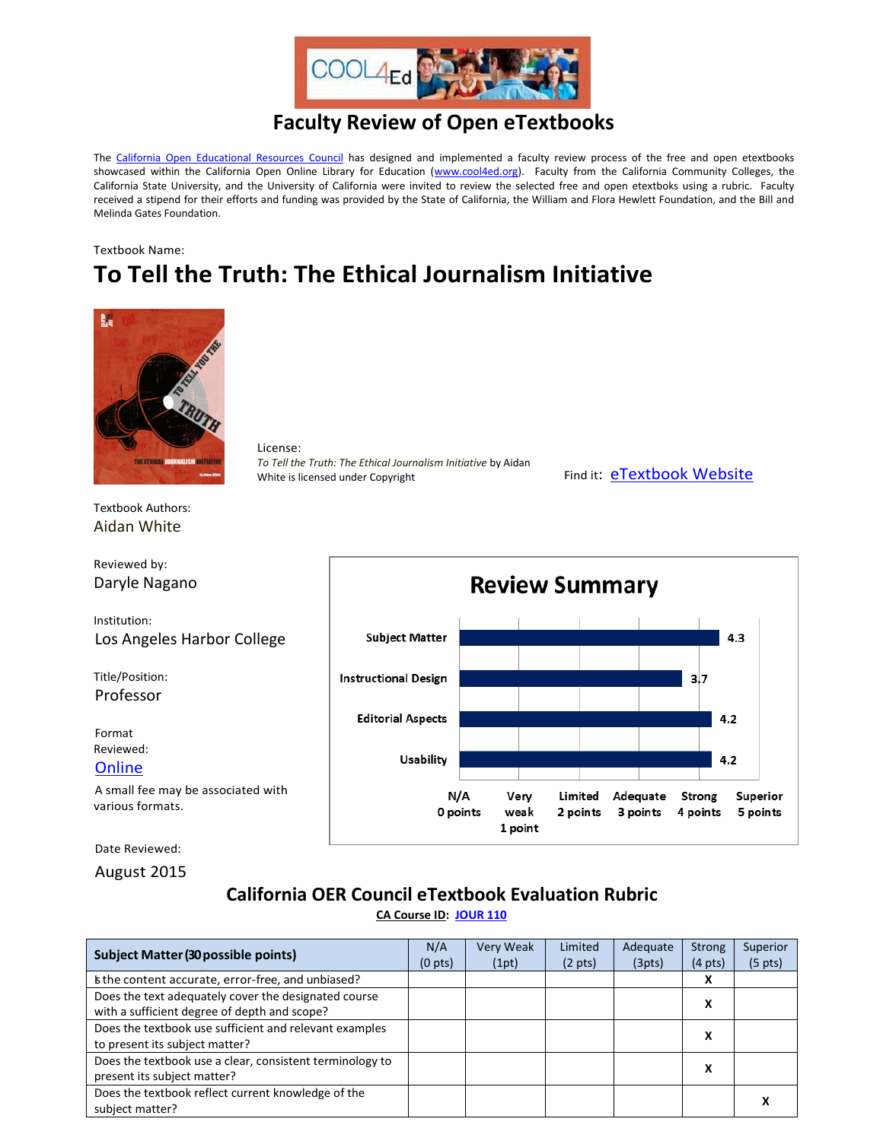

## **Faculty Review of Open eTextbooks**

The [California Open Educational Resources Council](http://icas-ca.org/coerc) has designed and implemented a faculty review process of the free and open etextbooks showcased within the California Open Online Library for Education [\(www.cool4ed.org\)](http://www.cool4ed.org/). Faculty from the California Community Colleges, the California State University, and the University of California were invited to review the selected free and open etextboks using a rubric. Faculty received a stipend for their efforts and funding was provided by the State of California, the William and Flora Hewlett Foundation, and the Bill and Melinda Gates Foundation.

## Textbook Name: **To Tell the Truth: The Ethical Journalism Initiative**



License: *To Tell the Truth: The Ethical Journalism Initiative* by Aidan White is licensed under Copyright Find it: [eTextbook Website](http://ethicaljournalisminitiative.org/pdfs/EJI_book_en.pdf)

Textbook Authors: Aidan White

Reviewed by: Daryle Nagano

Institution: Los Angeles Harbor College

Title/Position: Professor

Format Reviewed: **[Online](http://ethicaljournalisminitiative.org/pdfs/EJI_book_en.pdf)** 

A small fee may be associated with various formats.

Date Reviewed:

August 2015

## **California OER Council eTextbook Evaluation Rubric**

**[CA Course ID:](https://c-id.net/about.html) [JOUR 110](https://c-id.net/descriptor_details.html?descriptor=375)**

| <b>Subject Matter (30 possible points)</b>                                                           | N/A<br>(0 <sub>pts</sub> ) | Very Weak<br>(1pt) | Limited<br>$(2 \text{ pts})$ | Adequate<br>(3pts) | <b>Strong</b><br>$(4 \text{ pts})$ | Superior<br>$(5 \text{ pts})$ |
|------------------------------------------------------------------------------------------------------|----------------------------|--------------------|------------------------------|--------------------|------------------------------------|-------------------------------|
| s the content accurate, error-free, and unbiased?                                                    |                            |                    |                              |                    | X                                  |                               |
| Does the text adequately cover the designated course<br>with a sufficient degree of depth and scope? |                            |                    |                              |                    | x                                  |                               |
| Does the textbook use sufficient and relevant examples<br>to present its subject matter?             |                            |                    |                              |                    | x                                  |                               |
| Does the textbook use a clear, consistent terminology to<br>present its subject matter?              |                            |                    |                              |                    | х                                  |                               |
| Does the textbook reflect current knowledge of the<br>subject matter?                                |                            |                    |                              |                    |                                    |                               |

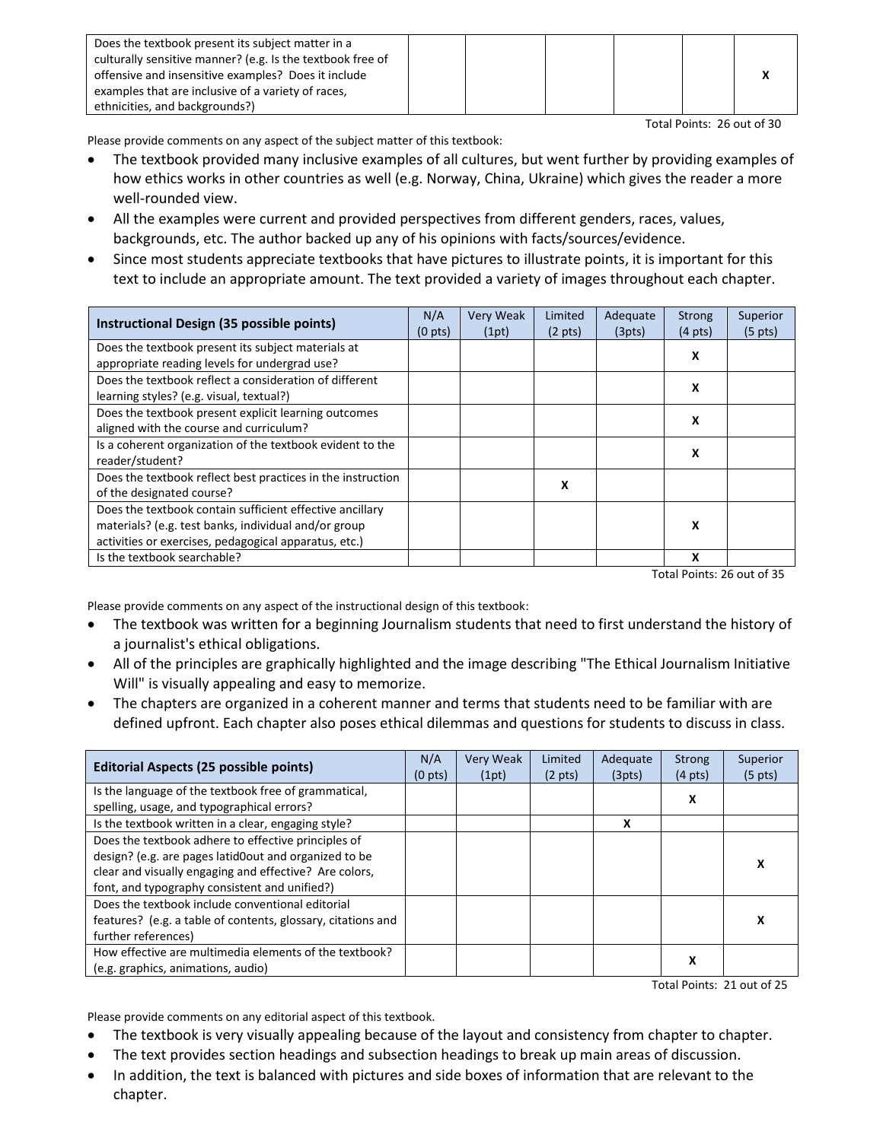| Does the textbook present its subject matter in a          |  |  |  |
|------------------------------------------------------------|--|--|--|
| culturally sensitive manner? (e.g. Is the textbook free of |  |  |  |
| offensive and insensitive examples? Does it include        |  |  |  |
| examples that are inclusive of a variety of races,         |  |  |  |
| ethnicities, and backgrounds?)                             |  |  |  |

Total Points: 26 out of 30

Please provide comments on any aspect of the subject matter of this textbook:

- The textbook provided many inclusive examples of all cultures, but went further by providing examples of how ethics works in other countries as well (e.g. Norway, China, Ukraine) which gives the reader a more well-rounded view.
- All the examples were current and provided perspectives from different genders, races, values, backgrounds, etc. The author backed up any of his opinions with facts/sources/evidence.
- Since most students appreciate textbooks that have pictures to illustrate points, it is important for this text to include an appropriate amount. The text provided a variety of images throughout each chapter.

| Instructional Design (35 possible points)                                                                                                                                 | N/A<br>(0 <sub>pts</sub> ) | Very Weak<br>(1pt) | Limited<br>$(2 \text{ pts})$ | Adequate<br>(3pts) | <b>Strong</b><br>$(4 \text{ pts})$ | Superior<br>$(5 \text{ pts})$ |
|---------------------------------------------------------------------------------------------------------------------------------------------------------------------------|----------------------------|--------------------|------------------------------|--------------------|------------------------------------|-------------------------------|
| Does the textbook present its subject materials at<br>appropriate reading levels for undergrad use?                                                                       |                            |                    |                              |                    | x                                  |                               |
| Does the textbook reflect a consideration of different<br>learning styles? (e.g. visual, textual?)                                                                        |                            |                    |                              |                    | x                                  |                               |
| Does the textbook present explicit learning outcomes<br>aligned with the course and curriculum?                                                                           |                            |                    |                              |                    | X                                  |                               |
| Is a coherent organization of the textbook evident to the<br>reader/student?                                                                                              |                            |                    |                              |                    | x                                  |                               |
| Does the textbook reflect best practices in the instruction<br>of the designated course?                                                                                  |                            |                    | x                            |                    |                                    |                               |
| Does the textbook contain sufficient effective ancillary<br>materials? (e.g. test banks, individual and/or group<br>activities or exercises, pedagogical apparatus, etc.) |                            |                    |                              |                    | x                                  |                               |
| Is the textbook searchable?                                                                                                                                               |                            |                    |                              |                    | x                                  |                               |

Total Points: 26 out of 35

Please provide comments on any aspect of the instructional design of this textbook:

- The textbook was written for a beginning Journalism students that need to first understand the history of a journalist's ethical obligations.
- All of the principles are graphically highlighted and the image describing "The Ethical Journalism Initiative Will" is visually appealing and easy to memorize.
- The chapters are organized in a coherent manner and terms that students need to be familiar with are defined upfront. Each chapter also poses ethical dilemmas and questions for students to discuss in class.

| <b>Editorial Aspects (25 possible points)</b>                | N/A<br>(0 <sub>pts</sub> ) | <b>Very Weak</b><br>(1pt) | Limited<br>$(2 \text{ pts})$ | Adequate<br>(3pts) | <b>Strong</b><br>$(4 \text{ pts})$ | Superior<br>$(5 \text{ pts})$ |
|--------------------------------------------------------------|----------------------------|---------------------------|------------------------------|--------------------|------------------------------------|-------------------------------|
| Is the language of the textbook free of grammatical,         |                            |                           |                              |                    |                                    |                               |
| spelling, usage, and typographical errors?                   |                            |                           |                              |                    | x                                  |                               |
| Is the textbook written in a clear, engaging style?          |                            |                           |                              | x                  |                                    |                               |
| Does the textbook adhere to effective principles of          |                            |                           |                              |                    |                                    |                               |
| design? (e.g. are pages latid0out and organized to be        |                            |                           |                              |                    |                                    | x                             |
| clear and visually engaging and effective? Are colors,       |                            |                           |                              |                    |                                    |                               |
| font, and typography consistent and unified?)                |                            |                           |                              |                    |                                    |                               |
| Does the textbook include conventional editorial             |                            |                           |                              |                    |                                    |                               |
| features? (e.g. a table of contents, glossary, citations and |                            |                           |                              |                    |                                    | x                             |
| further references)                                          |                            |                           |                              |                    |                                    |                               |
| How effective are multimedia elements of the textbook?       |                            |                           |                              |                    | х                                  |                               |
| (e.g. graphics, animations, audio)                           |                            |                           |                              |                    |                                    |                               |

Total Points: 21 out of 25

Please provide comments on any editorial aspect of this textbook.

- The textbook is very visually appealing because of the layout and consistency from chapter to chapter.
- The text provides section headings and subsection headings to break up main areas of discussion.
- In addition, the text is balanced with pictures and side boxes of information that are relevant to the chapter.